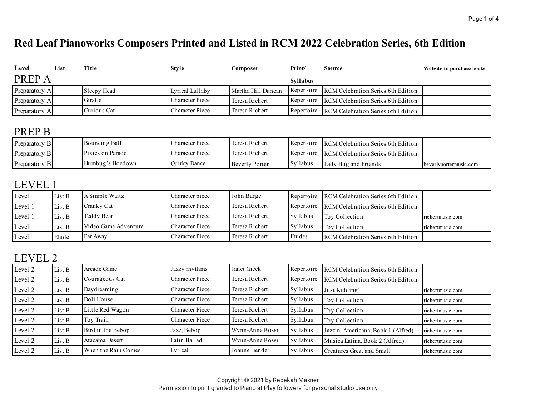# **Red Leaf Pianoworks Composers Printed and Listed in RCM 2022 Celebration Series, 6th Edition**

| Level         | List | Title       | <b>Style</b>           | Composer           | Print/          | Source                                        | Website to purchase books |
|---------------|------|-------------|------------------------|--------------------|-----------------|-----------------------------------------------|---------------------------|
| <b>PREPA</b>  |      |             |                        |                    | <b>Syllabus</b> |                                               |                           |
| Preparatory A |      | Sleepy Head | Lyrical Lullaby        | Martha Hill Duncan |                 | Repertoire RCM Celebration Series 6th Edition |                           |
| Preparatory A |      | Giraffe     | <b>Character Piece</b> | Teresa Richert     |                 | Repertoire RCM Celebration Series 6th Edition |                           |
| Preparatory A |      | Curious Cat | <b>Character Piece</b> | Teresa Richert     | Repertoire      | <b>RCM Celebration Series 6th Edition</b>     |                           |

#### PREP B

| Preparatory B | Bouncing Ball    | Character Piece     | Teresa Richert | Repertoire | RCM Celebration Series 6th Edition            |                        |
|---------------|------------------|---------------------|----------------|------------|-----------------------------------------------|------------------------|
| Preparatory B | Pixies on Parade | Character Piece     | Teresa Richert |            | Repertoire RCM Celebration Series 6th Edition |                        |
| Preparatory B | Humbug's Hoedown | <b>Ouirky Dance</b> | Beverly Porter | Syllabus   | Lady Bug and Friends                          | beverlyportermusic.com |

### LEVEL 1

| Level 1 | List B | A Simple Waltz       | Character piece        | John Burge     |          | Repertoire RCM Celebration Series 6th Edition |                  |
|---------|--------|----------------------|------------------------|----------------|----------|-----------------------------------------------|------------------|
| Level 1 | List B | Cranky Cat           | Character Piece        | Teresa Richert |          | Repertoire RCM Celebration Series 6th Edition |                  |
| Level 1 | List B | Teddy Bear           | <b>Character Piece</b> | Teresa Richert | Syllabus | Toy Collection                                | richertmusic.com |
| Level 1 | List B | Video Game Adventure | <b>Character Piece</b> | Teresa Richert | Syllabus | Toy Collection                                | richertmusic.com |
| Level 1 | Etude  | Far Away             | Character Piece        | Teresa Richert | Etudes   | <b>RCM</b> Celebration Series 6th Edition     |                  |

#### LEVEL 2

| Level 2 | List B | Arcade Game         | Jazzy rhythms          | Janet Gieck     | Repertoire | RCM Celebration Series 6th Edition |                  |
|---------|--------|---------------------|------------------------|-----------------|------------|------------------------------------|------------------|
| Level 2 | List B | Courageous Cat      | <b>Character Piece</b> | Teresa Richert  | Repertoire | RCM Celebration Series 6th Edition |                  |
| Level 2 | List B | Daydreaming         | <b>Character Piece</b> | Teresa Richert  | Syllabus   | Just Kidding!                      | richertmusic.com |
| Level 2 | List B | Doll House          | <b>Character Piece</b> | Teresa Richert  | Syllabus   | Toy Collection                     | richertmusic.com |
| Level 2 | List B | Little Red Wagon    | <b>Character Piece</b> | Teresa Richert  | Syllabus   | Toy Collection                     | richertmusic.com |
| Level 2 | List B | Toy Train           | Character Piece        | Teresa Richert  | Syllabus   | Toy Collection                     | richertmusic.com |
| Level 2 | List B | Bird in the Bebop   | Jazz, Bebop            | Wynn-Anne Rossi | Syllabus   | Jazzin' Americana, Book 1 (Alfred) | richertmusic.com |
| Level 2 | List B | Atacama Desert      | Latin Ballad           | Wynn-Anne Rossi | Syllabus   | Musica Latina, Book 2 (Alfred)     | richertmusic.com |
| Level 2 | List B | When the Rain Comes | Lyrical                | Joanne Bender   | Syllabus   | Creatures Great and Small          | richertmusic.com |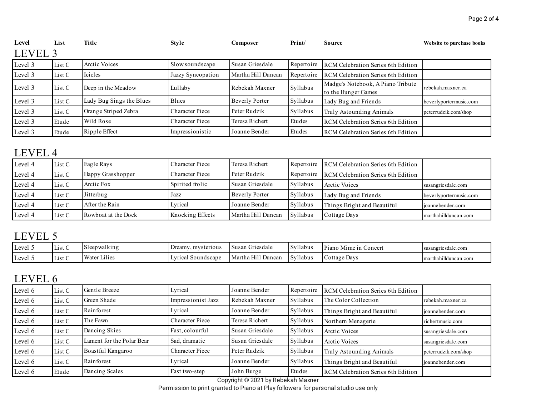| Level   | List   | Title                    | <b>Style</b>           | Composer           | Print/     | Source                                                   | Website to purchase books |
|---------|--------|--------------------------|------------------------|--------------------|------------|----------------------------------------------------------|---------------------------|
| LEVEL 3 |        |                          |                        |                    |            |                                                          |                           |
| Level 3 | List C | Arctic Voices            | Slow soundscape        | Susan Griesdale    | Repertoire | RCM Celebration Series 6th Edition                       |                           |
| Level 3 | List C | Icicles                  | Jazzy Syncopation      | Martha Hill Duncan | Repertoire | RCM Celebration Series 6th Edition                       |                           |
| Level 3 | List C | Deep in the Meadow       | Lullaby                | Rebekah Maxner     | Syllabus   | Madge's Notebook, A Piano Tribute<br>to the Hunger Games | rebekah.maxner.ca         |
| Level 3 | List C | Lady Bug Sings the Blues | Blues                  | Beverly Porter     | Syllabus   | Lady Bug and Friends                                     | beverlyportermusic.com    |
| Level 3 | List C | Orange Striped Zebra     | <b>Character Piece</b> | Peter Rudzik       | Syllabus   | Truly Astounding Animals                                 | peterrudzik.com/shop      |
| Level 3 | Etude  | Wild Rose                | <b>Character Piece</b> | Teresa Richert     | Etudes     | RCM Celebration Series 6th Edition                       |                           |
| Level 3 | Etude  | Ripple Effect            | Impressionistic        | Joanne Bender      | Etudes     | RCM Celebration Series 6th Edition                       |                           |

### LEVEL 4

| Level 4 | List C | Eagle Rays          | Character Piece  | Teresa Richert        | Repertoire | RCM Celebration Series 6th Edition |                        |
|---------|--------|---------------------|------------------|-----------------------|------------|------------------------------------|------------------------|
| Level 4 | List C | Happy Grasshopper   | Character Piece  | Peter Rudzik          | Repertoire | RCM Celebration Series 6th Edition |                        |
| Level 4 | List C | Arctic Fox          | Spirited frolic  | Susan Griesdale       | Syllabus   | Arctic Voices                      | susangriesdale.com     |
| Level 4 | List C | Jitterbug           | Jazz             | <b>Beverly Porter</b> | Syllabus   | Lady Bug and Friends               | beverlyportermusic.com |
| Level 4 | List C | After the Rain      | Lyrical          | Joanne Bender         | Syllabus   | Things Bright and Beautiful        | joannebender.com       |
| Level 4 | List C | Rowboat at the Dock | Knocking Effects | Martha Hill Duncan    | Syllabus   | Cottage Days                       | marthahillduncan.com   |

#### LEVEL 5

| Level   | $\sim$<br>LIST U | epwalking                       | , mysterious<br>Dreamy | Griesdale<br>Susan   | Syllabus<br>$\sim$ | Piano<br>$-$<br>Concert<br>Mime ir | susangriesdale.com   |
|---------|------------------|---------------------------------|------------------------|----------------------|--------------------|------------------------------------|----------------------|
| Level . | List C           | $\mathbf{r}$<br>Wate.<br>Lilies | Lyrical<br>Soundscape  | Martha Hill<br>Dunca | Syllabus           | Cottage Davs                       | marthahillduncan.com |

## LEVEL 6

| Level 6 | List C | Gentle Breeze             | Lyrical                | Joanne Bender   | Repertoire | RCM Celebration Series 6th Edition |                      |
|---------|--------|---------------------------|------------------------|-----------------|------------|------------------------------------|----------------------|
| Level 6 | List C | Green Shade               | Impressionist Jazz     | Rebekah Maxner  | Syllabus   | The Color Collection               | rebekah.maxner.ca    |
| Level 6 | List C | Rainforest                | Lyrical                | Joanne Bender   | Syllabus   | Things Bright and Beautiful        | joannebender.com     |
| Level 6 | List C | The Fawn                  | Character Piece        | Teresa Richert  | Syllabus   | Northern Menagerie                 | richertmusic.com     |
| Level 6 | List C | Dancing Skies             | Fast, colourful        | Susan Griesdale | Syllabus   | Arctic Voices                      | susangriesdale.com   |
| Level 6 | List C | Lament for the Polar Bear | Sad, dramatic          | Susan Griesdale | Syllabus   | Arctic Voices                      | susangriesdale.com   |
| Level 6 | List C | Boastful Kangaroo         | <b>Character Piece</b> | Peter Rudzik    | Syllabus   | Truly Astounding Animals           | peterrudzik.com/shop |
| Level 6 | List C | Rainforest                | Lyrical                | Joanne Bender   | Syllabus   | Things Bright and Beautiful        | joannebender.com     |
| Level 6 | Etude  | Dancing Scales            | Fast two-step          | John Burge<br>. | Etudes     | RCM Celebration Series 6th Edition |                      |

Copyright © 2021 by Rebekah Maxner Permission to print granted to Piano at Play followers for personal studio use only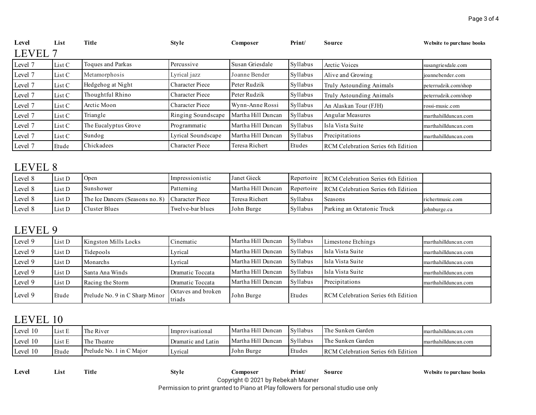| Level   | List   | Title                | <b>Style</b>           | Composer           | Print/   | Source                                    | Website to purchase books |
|---------|--------|----------------------|------------------------|--------------------|----------|-------------------------------------------|---------------------------|
| LEVEL 7 |        |                      |                        |                    |          |                                           |                           |
| Level 7 | List C | Toques and Parkas    | Percussive             | Susan Griesdale    | Syllabus | Arctic Voices                             | susangriesdale.com        |
| Level 7 | List C | Metamorphosis        | Lyrical jazz           | Joanne Bender      | Syllabus | Alive and Growing                         | joannebender.com          |
| Level 7 | List C | Hedgehog at Night    | <b>Character Piece</b> | Peter Rudzik       | Syllabus | Truly Astounding Animals                  | peterrudzik.com/shop      |
| Level 7 | List C | Thoughtful Rhino     | <b>Character Piece</b> | Peter Rudzik       | Syllabus | Truly Astounding Animals                  | peterrudzik.com/shop      |
| Level 7 | List C | Arctic Moon          | <b>Character Piece</b> | Wynn-Anne Rossi    | Syllabus | An Alaskan Tour (FJH)                     | rossi-music.com           |
| Level 7 | List C | Triangle             | Ringing Soundscape     | Martha Hill Duncan | Syllabus | Angular Measures                          | marthahillduncan.com      |
| Level 7 | List C | The Eucalyptus Grove | Programmatic           | Martha Hill Duncan | Syllabus | Isla Vista Suite                          | marthahillduncan.com      |
| Level 7 | List C | Sundog               | Lyrical Soundscape     | Martha Hill Duncan | Syllabus | Precipitations                            | marthahillduncan.com      |
| Level 7 | Etude  | Chickadees           | <b>Character Piece</b> | Teresa Richert     | Etudes   | <b>RCM Celebration Series 6th Edition</b> |                           |

# LEVEL 8

| Level 8 | List D | Open                                            | Impressionistic  | Janet Gieck        |            | Repertoire RCM Celebration Series 6th Edition |                  |
|---------|--------|-------------------------------------------------|------------------|--------------------|------------|-----------------------------------------------|------------------|
| Level 8 | List D | <b>Sunshower</b>                                | Patterning       | Martha Hill Duncan | Repertoire | RCM Celebration Series 6th Edition            |                  |
| Level 8 | List D | The Ice Dancers (Seasons no. 8) Character Piece |                  | Teresa Richert     | Syllabus   | Seasons                                       | richertmusic.com |
| Level 8 | List D | Cluster Blues                                   | Twelve-bar blues | John Burge         | Syllabus   | Parking an Octatonic Truck                    | johnburge.ca     |

# LEVEL 9

| Level 9 | List D | Kingston Mills Locks           | Cinematic                    | Martha Hill Duncan | Syllabus | Limestone Etchings                        | marthahillduncan.com |
|---------|--------|--------------------------------|------------------------------|--------------------|----------|-------------------------------------------|----------------------|
| Level 9 | List D | Tidepools                      | Lyrical                      | Martha Hill Duncan | Syllabus | Isla Vista Suite                          | marthahillduncan.com |
| Level 9 | List D | Monarchs                       | Lyrical                      | Martha Hill Duncan | Syllabus | Isla Vista Suite                          | marthahillduncan.com |
| Level 9 | List D | Santa Ana Winds                | Dramatic Toccata             | Martha Hill Duncan | Syllabus | Isla Vista Suite                          | marthahillduncan.com |
| Level 9 | List D | Racing the Storm               | Dramatic Toccata             | Martha Hill Duncan | Syllabus | Precipitations                            | marthahillduncan.com |
| Level 9 | Etude  | Prelude No. 9 in C Sharp Minor | Octaves and broken<br>triads | John Burge         | Etudes   | <b>RCM</b> Celebration Series 6th Edition |                      |

# LEVEL 10

| Level 10 | List E | The River                | Improvisational    | Martha Hill Duncan | Syllabus | The Sunken Garden                         | marthahillduncan.com |
|----------|--------|--------------------------|--------------------|--------------------|----------|-------------------------------------------|----------------------|
| Level 10 | List E | The Theatre              | Dramatic and Latin | Martha Hill Duncan | Syllabus | The Sunken Garden                         | marthahillduncan.com |
| Level 10 | Etude  | Prelude No. 1 in C Maior | Lyrical            | John Burge         | Etudes   | <b>RCM Celebration Series 6th Edition</b> |                      |

| Level | List | Title | Style | Composer                                                                            | Print/ | Source |  |  |
|-------|------|-------|-------|-------------------------------------------------------------------------------------|--------|--------|--|--|
|       |      |       |       | Copyright © 2021 by Rebekah Maxner                                                  |        |        |  |  |
|       |      |       |       | Permission to print granted to Piano at Play followers for personal studio use only |        |        |  |  |

 $W$ ebsite to purchase books